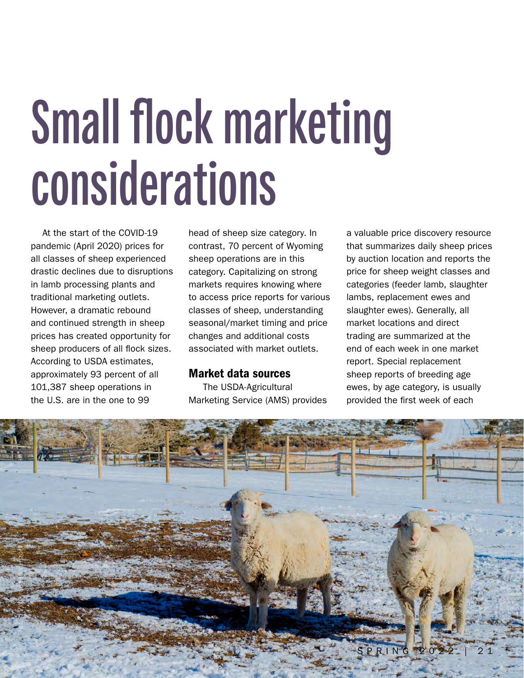# **Small flock marketing considerations**

At the start of the COVID-19 pandemic (April 2020) prices for all classes of sheep experienced drastic declines due to disruptions in lamb processing plants and traditional marketing outlets. However, a dramatic rebound and continued strength in sheep prices has created opportunity for sheep producers of all flock sizes. According to USDA estimates, approximately 93 percent of all 101,387 sheep operations in the U.S. are in the one to 99

head of sheep size category. In contrast, 70 percent of Wyoming sheep operations are in this category. Capitalizing on strong markets requires knowing where to access price reports for various classes of sheep, understanding seasonal/market timing and price changes and additional costs associated with market outlets.

## Market data sources

 The USDA-Agricultural Marketing Service (AMS) provides a valuable price discovery resource that summarizes daily sheep prices by auction location and reports the price for sheep weight classes and categories (feeder lamb, slaughter lambs, replacement ewes and slaughter ewes). Generally, all market locations and direct trading are summarized at the end of each week in one market report. Special replacement sheep reports of breeding age ewes, by age category, is usually provided the first week of each

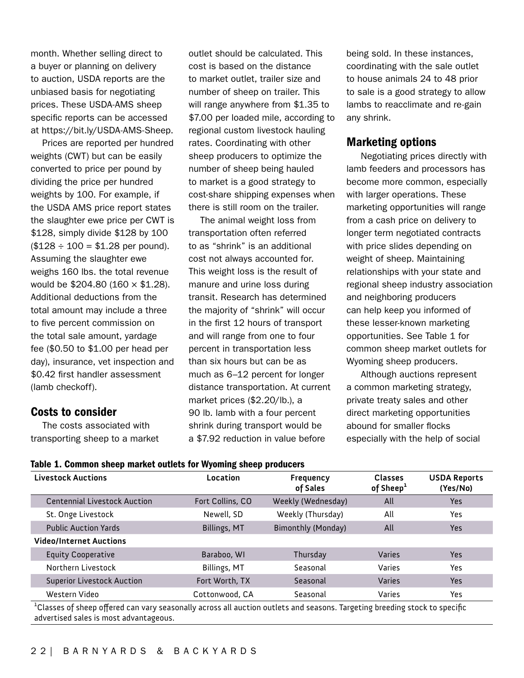month. Whether selling direct to a buyer or planning on delivery to auction, USDA reports are the unbiased basis for negotiating prices. These USDA-AMS sheep specific reports can be accessed at https://bit.ly/USDA-AMS-Sheep.

Prices are reported per hundred weights (CWT) but can be easily converted to price per pound by dividing the price per hundred weights by 100. For example, if the USDA AMS price report states the slaughter ewe price per CWT is \$128, simply divide \$128 by 100  $($128 \div 100 = $1.28$  per pound). Assuming the slaughter ewe weighs 160 lbs. the total revenue would be \$204.80 (160 × \$1.28). Additional deductions from the total amount may include a three to five percent commission on the total sale amount, yardage fee (\$0.50 to \$1.00 per head per day), insurance, vet inspection and \$0.42 first handler assessment (lamb checkoff).

# Costs to consider

The costs associated with transporting sheep to a market outlet should be calculated. This cost is based on the distance to market outlet, trailer size and number of sheep on trailer. This will range anywhere from \$1.35 to \$7.00 per loaded mile, according to regional custom livestock hauling rates. Coordinating with other sheep producers to optimize the number of sheep being hauled to market is a good strategy to cost-share shipping expenses when there is still room on the trailer.

The animal weight loss from transportation often referred to as "shrink" is an additional cost not always accounted for. This weight loss is the result of manure and urine loss during transit. Research has determined the majority of "shrink" will occur in the first 12 hours of transport and will range from one to four percent in transportation less than six hours but can be as much as 6–12 percent for longer distance transportation. At current market prices (\$2.20/lb.), a 90 lb. lamb with a four percent shrink during transport would be a \$7.92 reduction in value before

being sold. In these instances, coordinating with the sale outlet to house animals 24 to 48 prior to sale is a good strategy to allow lambs to reacclimate and re-gain any shrink.

### Marketing options

 Negotiating prices directly with lamb feeders and processors has become more common, especially with larger operations. These marketing opportunities will range from a cash price on delivery to longer term negotiated contracts with price slides depending on weight of sheep. Maintaining relationships with your state and regional sheep industry association and neighboring producers can help keep you informed of these lesser-known marketing opportunities. See Table 1 for common sheep market outlets for Wyoming sheep producers.

 Although auctions represent a common marketing strategy, private treaty sales and other direct marketing opportunities abound for smaller flocks especially with the help of social

| <b>Livestock Auctions</b>           | Location            | <b>Frequency</b><br>of Sales | <b>Classes</b><br>of Sheep <sup>1</sup> | <b>USDA Reports</b><br>(Yes/No) |
|-------------------------------------|---------------------|------------------------------|-----------------------------------------|---------------------------------|
| <b>Centennial Livestock Auction</b> | Fort Collins, CO    | Weekly (Wednesday)           | All                                     | Yes                             |
| St. Onge Livestock                  | Newell, SD          | Weekly (Thursday)            | All                                     | <b>Yes</b>                      |
| <b>Public Auction Yards</b>         | <b>Billings, MT</b> | <b>Bimonthly (Monday)</b>    | All                                     | <b>Yes</b>                      |
| <b>Video/Internet Auctions</b>      |                     |                              |                                         |                                 |
| <b>Equity Cooperative</b>           | Baraboo, WI         | Thursday                     | <b>Varies</b>                           | <b>Yes</b>                      |
| Northern Livestock                  | Billings, MT        | Seasonal                     | Varies                                  | Yes                             |
| <b>Superior Livestock Auction</b>   | Fort Worth, TX      | Seasonal                     | Varies                                  | <b>Yes</b>                      |
| Western Video                       | Cottonwood, CA      | Seasonal                     | Varies                                  | Yes                             |

 $^{\rm 1}$ Classes of sheep offered can vary seasonally across all auction outlets and seasons. Targeting breeding stock to specific advertised sales is most advantageous.

### Table 1. Common sheep market outlets for Wyoming sheep producers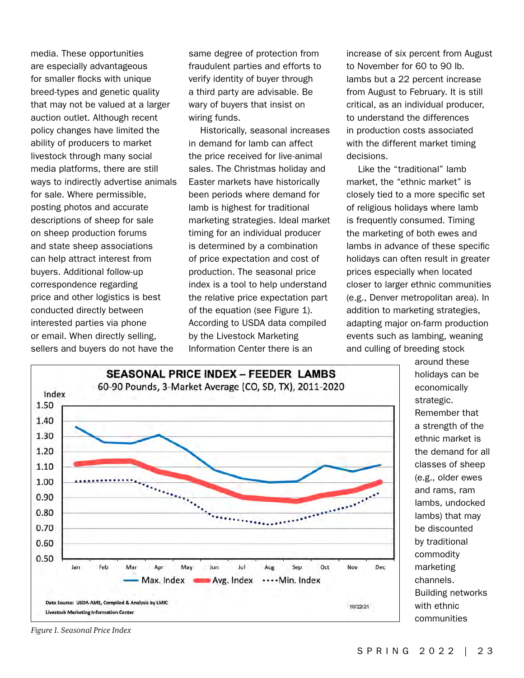media. These opportunities are especially advantageous for smaller flocks with unique breed-types and genetic quality that may not be valued at a larger auction outlet. Although recent policy changes have limited the ability of producers to market livestock through many social media platforms, there are still ways to indirectly advertise animals for sale. Where permissible, posting photos and accurate descriptions of sheep for sale on sheep production forums and state sheep associations can help attract interest from buyers. Additional follow-up correspondence regarding price and other logistics is best conducted directly between interested parties via phone or email. When directly selling, sellers and buyers do not have the

same degree of protection from fraudulent parties and efforts to verify identity of buyer through a third party are advisable. Be wary of buyers that insist on wiring funds.

Historically, seasonal increases in demand for lamb can affect the price received for live-animal sales. The Christmas holiday and Easter markets have historically been periods where demand for lamb is highest for traditional marketing strategies. Ideal market timing for an individual producer is determined by a combination of price expectation and cost of production. The seasonal price index is a tool to help understand the relative price expectation part of the equation (see Figure 1). According to USDA data compiled by the Livestock Marketing Information Center there is an

increase of six percent from August to November for 60 to 90 lb. lambs but a 22 percent increase from August to February. It is still critical, as an individual producer, to understand the differences in production costs associated with the different market timing decisions.

Like the "traditional" lamb market, the "ethnic market" is closely tied to a more specific set of religious holidays where lamb is frequently consumed. Timing the marketing of both ewes and lambs in advance of these specific holidays can often result in greater prices especially when located closer to larger ethnic communities (e.g., Denver metropolitan area). In addition to marketing strategies, adapting major on-farm production events such as lambing, weaning and culling of breeding stock



around these holidays can be economically strategic. Remember that a strength of the ethnic market is the demand for all classes of sheep (e.g., older ewes and rams, ram lambs, undocked lambs) that may be discounted by traditional commodity marketing channels. Building networks with ethnic communities

*Figure 1. Seasonal Price Index*